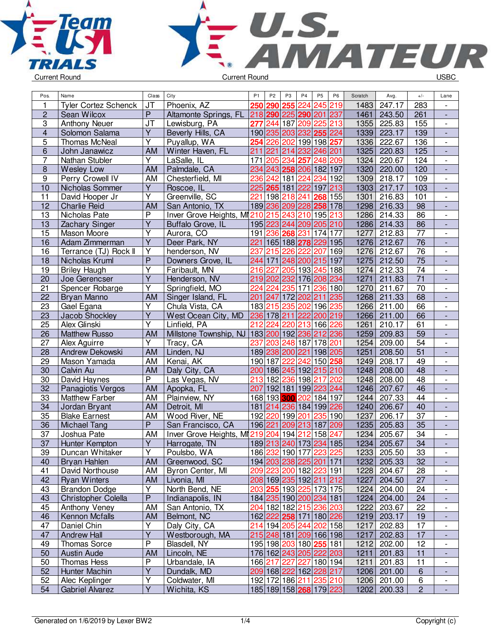



| Pos.                    | Name                        | Class                   | City                                   | P <sub>1</sub>          | P <sub>2</sub> | P <sub>3</sub>  | P <sub>4</sub>                     | <b>P5</b>   | P <sub>6</sub> | Scratch | Avg.        | $+/-$           | Lane                     |
|-------------------------|-----------------------------|-------------------------|----------------------------------------|-------------------------|----------------|-----------------|------------------------------------|-------------|----------------|---------|-------------|-----------------|--------------------------|
| 1                       | <b>Tyler Cortez Schenck</b> | JT                      | Phoenix, AZ                            | 250                     | 290            | 255             | 224                                | 245 219     |                | 1483    | 247.17      | 283             | $\blacksquare$           |
| $\overline{c}$          | Sean Wilcox                 | $\overline{P}$          | Altamonte Springs, FL                  |                         |                |                 | 218 290 225 290 201 237            |             |                | 1461    | 243.50      | 261             | $\overline{\phantom{a}}$ |
| 3                       | <b>Anthony Neuer</b>        | <b>JT</b>               | Lewisburg, PA                          | 277                     |                |                 | 244 187 209 225 213                |             |                | 1355    | 225.83      | 155             | $\overline{\phantom{a}}$ |
| $\overline{\mathbf{4}}$ | Solomon Salama              | $\overline{Y}$          | Beverly Hills, CA                      |                         |                |                 | 190 235 203 232 255                |             | 224            | 1339    | 223.17      | 139             | ÷,                       |
| 5                       | Thomas McNeal               | Υ                       | Puyallup, WA                           |                         | 254 226        | 202             | 199 198 257                        |             |                | 1336    | 222.67      | 136             | $\overline{\phantom{a}}$ |
| 6                       | John Janawicz               | <b>AM</b>               | Winter Haven, FL                       | 211                     | 221            |                 | 214 232 246 201                    |             |                | 1325    | 220.83      | 125             | $\frac{1}{2}$            |
| 7                       | Nathan Stubler              | Y                       | LaSalle, IL                            | 171                     | 205            | 234             | 257                                | 248 209     |                | 1324    | 220.67      | 124             | $\overline{\phantom{a}}$ |
| $\boldsymbol{8}$        | <b>Wesley Low</b>           | <b>AM</b>               | Palmdale, CA                           | 234                     |                |                 | 243 258 206                        | 182 197     |                | 1320    | 220.00      | 120             | $\overline{\phantom{a}}$ |
| 9                       | Perry Crowell IV            | AM                      | Chesterfield, MI                       | 236                     |                | 242 181         | 224                                | 234         | 192            | 1309    | 218.17      | 109             | $\overline{\phantom{a}}$ |
| 10                      | Nicholas Sommer             | Y                       | Roscoe, IL                             | 225                     |                | 265 181         | 222                                | 197         | 213            | 1303    | 217.17      | 103             |                          |
| $\overline{11}$         | David Hooper Jr             | $\overline{Y}$          | Greenville, SC                         | 221                     | 198            | 218             | 241                                | 268         | 155            | 1301    | 216.83      | 101             | $\overline{\phantom{a}}$ |
| 12                      | <b>Charlie Reid</b>         | <b>AM</b>               | San Antonio, TX                        |                         |                |                 | 189 236 209 228 258 178            |             |                | 1298    | 216.33      | 98              | $\blacksquare$           |
| 13                      | Nicholas Pate               | $\overline{P}$          | Inver Grove Heights, MI210 215         |                         |                |                 | 243 210                            | 195         | 213            | 1286    | 214.33      | 86              | $\overline{\phantom{a}}$ |
| 13                      | Zachary Singer              | $\overline{Y}$          | Buffalo Grove, IL                      |                         |                |                 | 195 223 244 209 205 210            |             |                | 1286    | 214.33      | 86              | $\frac{1}{2}$            |
| 15                      | Mason Moore                 | Y                       | Aurora, CO                             |                         |                |                 | 191 236 268 231                    | 174 177     |                | 1277    | 212.83      | 77              | $\overline{\phantom{a}}$ |
| 16                      | Adam Zimmerman              | $\overline{Y}$          | Deer Park, NY                          | 221                     |                |                 | 165 188 278 229 195                |             |                | 1276    | 212.67      | 76              |                          |
| 16                      | Terrance (TJ) Rock II       | $\overline{\mathsf{Y}}$ | henderson, NV                          | 237                     | 215            | 226             | 222                                | 207         | 169            | 1276    | 212.67      | $\overline{76}$ | $\overline{\phantom{a}}$ |
| 18                      | Nicholas Kruml              | P                       | Downers Grove, IL                      | 244                     |                |                 | 171 248 200 215 197                |             |                | 1275    | 212.50      | $\overline{75}$ | $\overline{\phantom{a}}$ |
| 19                      | <b>Briley Haugh</b>         | Υ                       | Faribault, MN                          | 216                     | 227            |                 | 205 193 245 188                    |             |                | 1274    | 212.33      | 74              | $\overline{\phantom{a}}$ |
| 20                      | Joe Gerencser               | $\overline{\mathsf{Y}}$ | Henderson, NV                          |                         | 219 202        |                 | 232 176 208 234                    |             |                | 1271    | 211.83      | $\overline{71}$ |                          |
| 21                      |                             | $\overline{Y}$          | Springfield, MO                        | 224                     | 224            | 235             | 171                                | 236         | 180            | 1270    | 211.67      | 70              | $\overline{\phantom{a}}$ |
| 22                      | Spencer Robarge             |                         |                                        | 201                     |                |                 |                                    |             |                |         | 211.33      | 68              |                          |
| 23                      | Bryan Manno                 | AM<br>Ÿ                 | Singer Island, FL                      |                         |                |                 | 247 172 202 211<br>235 202 196 235 |             | 235            | 1268    |             | 66              | $\frac{1}{2}$            |
|                         | Gael Egana                  |                         | Chula Vista, CA                        |                         | 183 215        |                 |                                    |             |                | 1266    | 211.00      |                 | $\overline{\phantom{a}}$ |
| 23                      | Jacob Shockley              | $\overline{Y}$          | West Ocean City, MD                    |                         |                |                 | 236 178 211 222 200 219            |             |                | 1266    | 211.00      | 66              | $\blacksquare$           |
| 25                      | Alex Glinski                | $\overline{\mathsf{Y}}$ | Linfield, PA                           | 212                     | 224            |                 | 220 213                            | 166 226     |                | 1261    | 210.17      | 61              | $\blacksquare$           |
| 26                      | <b>Matthew Russo</b>        | <b>AM</b>               | Millstone Township, NJ                 | 183 200 192 236 212 236 |                |                 |                                    |             |                | 1259    | 209.83      | 59              | $\overline{\phantom{a}}$ |
| 27                      | Alex Aguirre                | Y                       | Tracy, CA                              | 237                     | 203            |                 | 248 187                            | 178 201     |                | 1254    | 209.00      | 54              | $\overline{\phantom{a}}$ |
| 28                      | Andrew Dekowski             | <b>AM</b>               | Linden, NJ                             |                         |                | 189 238 200 221 |                                    | 198 205     |                | 1251    | 208.50      | $\overline{51}$ | $\overline{\phantom{a}}$ |
| 29                      | Mason Yamada                | AM                      | Kenai, AK                              |                         | 190 187        | 222             | 242                                | 150 258     |                | 1249    | 208.17      | 49              |                          |
| 30                      | Calvin Au                   | <b>AM</b>               | Daly City, CA                          | 200                     |                |                 | 186 245 192                        | 215 210     |                | 1248    | 208.00      | $\overline{48}$ |                          |
| 30                      | David Haynes                | $\overline{P}$          | Las Vegas, NV                          | 213                     | 182            |                 | 236 198                            | 217         | 202            | 1248    | 208.00      | 48              | $\blacksquare$           |
| 32                      | Panagiotis Vergos           | <b>AM</b>               | Apopka, FL                             | 207                     |                |                 | 192 181 199 223 244                |             |                | 1246    | 207.67      | 46              | $\blacksquare$           |
| 33                      | <b>Matthew Farber</b>       | AM                      | Plainview, NY                          |                         | 168 193        |                 | 300 202                            | 184 197     |                | 1244    | 207.33      | 44              | $\overline{\phantom{a}}$ |
| 34                      | Jordan Bryant               | <b>AM</b>               | Detroit, MI                            |                         |                |                 | 181 214 236 184 199 226            |             |                | 1240    | 206.67      | 40              | $\blacksquare$           |
| 35                      | <b>Blake Earnest</b>        | AM                      | Wood River, NE                         |                         | 192 220        |                 | 199 201                            | 235 190     |                | 1237    | 206.17      | $\overline{37}$ | $\overline{\phantom{a}}$ |
| 36                      | Michael Tang                | $\overline{P}$          | San Francisco, CA                      |                         | 196 221        |                 | 209 213                            | 187         | 209            | 1235    | 205.83      | 35              | $\overline{\phantom{a}}$ |
| 37                      | Joshua Pate                 | AM                      | Inver Grove Heights, MI219 204 194 212 |                         |                |                 |                                    | 158         | 247            | 1234    | 205.67      | 34              | $\overline{\phantom{a}}$ |
| 37                      | Hunter Kempton              | Y                       | Harrogate, TN                          |                         |                |                 | 189 213 240 173 234 185            |             |                | 1234    | 205.67      | 34              |                          |
| 39                      | Duncan Whitaker             | Y                       | Poulsbo, WA                            |                         |                |                 | 186 232 190 177 223 225            |             |                | 1233    | 205.50      | 33              | $\overline{\phantom{a}}$ |
| 40                      | Bryan Hahlen                | <b>AM</b>               | Greenwood, SC                          |                         |                |                 | 194 203 238 225 201 171            |             |                | 1232    | 205.33      | 32              | ٠                        |
| 41                      | David Northouse             | AM                      | Byron Center, MI                       |                         |                |                 | 209 223 200 182 223 191            |             |                | 1228    | 204.67      | 28              | $\overline{\phantom{a}}$ |
| 42                      | <b>Ryan Winters</b>         | AM                      | Livonia, MI                            |                         |                |                 | 208 169 235 192 211 212            |             |                | 1227    | 204.50      | 27              |                          |
| 43                      | <b>Brandon Dodge</b>        | Υ                       | North Bend, NE                         |                         |                |                 | 203 255 193 225 173 175            |             |                | 1224    | 204.00      | 24              | $\overline{\phantom{a}}$ |
| 43                      | Christopher Colella         | $\mathsf{P}$            | Indianapolis, IN                       |                         |                |                 | 184 235 190 200 234 181            |             |                | 1224    | 204.00      | 24              |                          |
| 45                      | Anthony Veney               | AM                      | San Antonio, TX                        |                         |                |                 | 204 182 182 215 236 203            |             |                | 1222    | 203.67      | 22              | $\overline{\phantom{a}}$ |
| 46                      | Kennon Mcfalls              | AM                      | Belmont, NC                            |                         |                |                 | 162 222 258 171 180 226            |             |                | 1219    | 203.17      | 19              | $\overline{\phantom{a}}$ |
| 47                      | Daniel Chin                 | Υ                       | Daly City, CA                          |                         |                |                 | 214 194 205 244 202 158            |             |                | 1217    | 202.83      | 17              | $\overline{\phantom{a}}$ |
| 47                      | Andrew Hall                 | Y                       | Westborough, MA                        |                         |                |                 | 215 248 181 209 166 198            |             |                | 1217    | 202.83      | 17              | $\overline{\phantom{a}}$ |
| 49                      | <b>Thomas Sorce</b>         | P                       | Blasdell, NY                           |                         |                |                 | 195 198 203 180 255 181            |             |                | 1212    | 202.00      | 12              | $\overline{\phantom{a}}$ |
| 50                      | <b>Austin Aude</b>          | AM                      | Lincoln, NE                            |                         |                |                 | 176 162 243 205 222 203            |             |                | 1211    | 201.83      | 11              | $\overline{\phantom{a}}$ |
| 50                      | Thomas Hess                 | P                       | Urbandale, IA                          |                         | 166 217 227    |                 |                                    | 227 180 194 |                | 1211    | 201.83      | 11              | $\overline{\phantom{a}}$ |
| 52                      | Hunter Machin               | $\overline{Y}$          | Dundalk, MD                            |                         |                |                 | 209 168 222 162 228 217            |             |                |         | 1206 201.00 | 6               |                          |
| 52                      | Alec Keplinger              | Υ                       | Coldwater, MI                          |                         |                |                 | 192 172 186 211 235 210            |             |                | 1206    | 201.00      | 6               | $\overline{\phantom{a}}$ |
| 54                      | <b>Gabriel Alvarez</b>      | $\overline{Y}$          | Wichita, KS                            |                         |                |                 | 185 189 158 268 179 223            |             |                | 1202    | 200.33      | $\overline{2}$  |                          |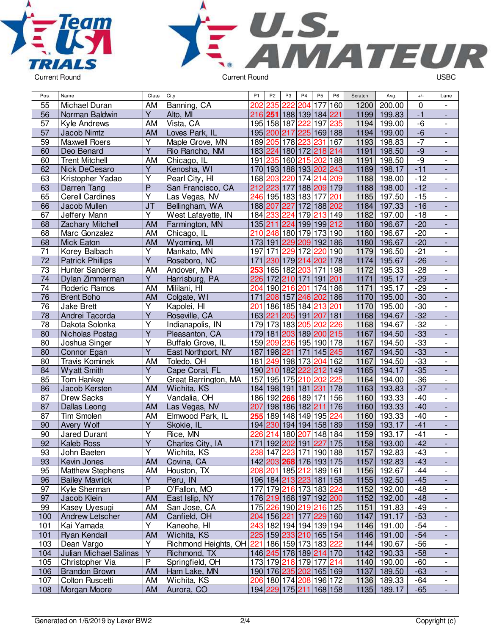



| Pos.            | Name                    | Class                   | City                 | P <sub>1</sub>   | P <sub>2</sub> | P <sub>3</sub> | P <sub>4</sub>                                 | P <sub>5</sub> | P <sub>6</sub>          | Scratch           | Avg.   | $+/-$ | Lane                         |
|-----------------|-------------------------|-------------------------|----------------------|------------------|----------------|----------------|------------------------------------------------|----------------|-------------------------|-------------------|--------|-------|------------------------------|
| 55              | Michael Duran           | AM                      | Banning, CA          | 202              | 235            | 222            | 204                                            | 177            | 160                     | 1200              | 200.00 | 0     |                              |
| 56              | Norman Baldwin          | $\overline{Y}$          | Alto, MI             |                  |                |                | 216 251 188 139 184 221                        |                |                         | 1199              | 199.83 | $-1$  | $\blacksquare$               |
| 57              | Kyle Andrews            | <b>AM</b>               | Vista, CA            |                  |                |                | 195 158 187 222                                | 197 235        |                         | 1194              | 199.00 | $-6$  | $\blacksquare$               |
| 57              | Jacob Nimtz             | AM                      | Loves Park, IL       |                  | 195 200 217    |                | 225 169 188                                    |                |                         | 1194              | 199.00 | $-6$  | $\overline{\phantom{a}}$     |
| 59              | <b>Maxwell Roers</b>    | Υ                       | Maple Grove, MN      |                  |                |                | 189 205 178 223 231                            |                | 167                     | 1193              | 198.83 | $-7$  | $\overline{\phantom{a}}$     |
| 60              | Deo Benard              | $\overline{Y}$          | Rio Rancho, NM       |                  |                |                | 183 224 180 172 218 214                        |                |                         | 1191              | 198.50 | $-9$  | $\overline{\phantom{a}}$     |
| 60              | <b>Trent Mitchell</b>   | <b>AM</b>               | Chicago, IL          |                  |                |                | 191 235 160 215 202 188                        |                |                         | 1191              | 198.50 | -9    | $\overline{\phantom{a}}$     |
| 62              | Nick DeCesaro           | Y                       | Kenosha, WI          |                  |                |                | 170 193 188 193 202 243                        |                |                         | 1189              | 198.17 | $-11$ |                              |
| 63              | Kristopher Yadao        | $\overline{Y}$          | Pearl City, HI       |                  | 168 203        |                | 220 174                                        | 214 209        |                         | 1188              | 198.00 | $-12$ | $\overline{\phantom{a}}$     |
| 63              | Darren Tang             | $\overline{P}$          | San Francisco, CA    |                  | 212 223 177    |                |                                                | 188 209 179    |                         | 1188              | 198.00 | $-12$ | L,                           |
| 65              | <b>Cerell Cardines</b>  | $\overline{\mathsf{Y}}$ | Las Vegas, NV        |                  |                |                | 246 195 183 183 177                            |                | 201                     | 1185              | 197.50 | $-15$ | $\overline{\phantom{a}}$     |
| 66              | Jacob Mullen            | $\overline{J}$          | Bellingham, WA       |                  |                |                | 188 207 227 172 188 202                        |                |                         | 1184              | 197.33 | $-16$ | $\Box$                       |
| 67              | Jeffery Mann            | $\overline{Y}$          | West Lafayette, IN   |                  |                |                | 184 233 224 179 213 149                        |                |                         | 1182              | 197.00 | $-18$ | $\frac{1}{2}$                |
| 68              | <b>Zachary Mitchell</b> | <b>AM</b>               | Farmington, MN       |                  |                |                | 135 211 224 199 199 212                        |                |                         | 1180              | 196.67 | $-20$ | $\frac{1}{2}$                |
| 68              | Marc Gonzalez           | AM                      | Chicago, IL          |                  |                |                | 210 248 180 179                                | 173 190        |                         | 1180              | 196.67 | $-20$ | $\overline{\phantom{a}}$     |
| 68              | <b>Mick Eaton</b>       | <b>AM</b>               | Wyoming, MI          |                  |                |                | 173 191 229 209 192 186                        |                |                         | 1180              | 196.67 | $-20$ | $\overline{\phantom{a}}$     |
| $\overline{71}$ | Korey Balbach           | Υ                       | Mankato, MN          | 197              | 171            |                | 229 172                                        | 220 190        |                         | 1179              | 196.50 | $-21$ | $\overline{\phantom{a}}$     |
| $\overline{72}$ | <b>Patrick Phillips</b> | $\overline{\mathsf{Y}}$ | Roseboro, NC         | 171              |                |                | 230 179 214 202 178                            |                |                         | $11\overline{74}$ | 195.67 | $-26$ | $\overline{\phantom{a}}$     |
| 73              | <b>Hunter Sanders</b>   | AM                      | Andover, MN          | 253              |                |                | 165 182 203 171 198                            |                |                         | 1172              | 195.33 | $-28$ | $\overline{\phantom{a}}$     |
| 74              | Dylan Zimmerman         | $\overline{Y}$          | Harrisburg, PA       |                  |                |                | 226 172 210 171 191 201                        |                |                         | 1171              | 195.17 | $-29$ | $\frac{1}{2}$                |
| 74              | Roderic Ramos           | <b>AM</b>               | Mililani, HI         |                  |                |                | 204 190 216 201                                | 174 186        |                         | 1171              | 195.17 | $-29$ | $\frac{1}{2}$                |
| $\overline{76}$ | <b>Brent Boho</b>       | <b>AM</b>               | Colgate, WI          | $\overline{171}$ |                |                | 208 157 246 202 186                            |                |                         | 1170              | 195.00 | $-30$ | $\Box$                       |
| $\overline{76}$ | <b>Jake Brett</b>       | Υ                       | Kapolei, HI          | 201              |                |                | 186 185 184 213 201                            |                |                         | 1170              | 195.00 | $-30$ | $\blacksquare$               |
| 78              | Andrei Tacorda          | $\overline{Y}$          | Roseville, CA        |                  |                |                | 163 221 205 191 207 181                        |                |                         | 1168              | 194.67 | $-32$ | $\frac{1}{2}$                |
| 78              | Dakota Solonka          | Υ                       | Indianapolis, IN     |                  |                |                | 179 173 183 205                                | 202            | 226                     | 1168              | 194.67 | $-32$ | $\overline{\phantom{a}}$     |
| 80              | Nicholas Postag         | Υ                       | Pleasanton, CA       |                  |                |                | 179 181 203 189 200 215                        |                |                         | 1167              | 194.50 | $-33$ | $\overline{\phantom{a}}$     |
| 80              | Joshua Singer           | $\overline{\mathsf{Y}}$ | Buffalo Grove, IL    |                  |                |                | 159 209 236 195 190 178                        |                |                         | 1167              | 194.50 | $-33$ | $\qquad \qquad -$            |
| 80              | Connor Egan             | $\overline{\mathsf{Y}}$ | East Northport, NY   |                  |                |                | 187 198 221 171 145 245                        |                |                         | 1167              | 194.50 | $-33$ | $\blacksquare$               |
| 80              | <b>Travis Kominek</b>   | AM                      | Toledo, OH           |                  |                |                | 181 249 198 173                                | 204 162        |                         | 1167              | 194.50 | $-33$ | $\overline{\phantom{a}}$     |
| 84              | <b>Wyatt Smith</b>      | $\overline{Y}$          | Cape Coral, FL       |                  |                |                | 190 210 182 222 212 149                        |                |                         | 1165              | 194.17 | $-35$ | $\frac{1}{2}$                |
| 85              | <b>Tom Hankey</b>       | Y                       | Great Barrington, MA |                  |                |                | 157 195 175 210 202                            |                | 225                     | 1164              | 194.00 | $-36$ | $\overline{\phantom{a}}$     |
| 86              | Jacob Kersten           | AM                      | Wichita, KS          |                  |                |                | 184 198 191 181 231                            |                | 178                     | 1163              | 193.83 | $-37$ | $\Box$                       |
| 87              | <b>Drew Sacks</b>       | Y                       | Vandalia, OH         |                  |                |                | 186 192 266 189 171                            |                | 156                     | 1160              | 193.33 | $-40$ | $\frac{1}{2}$                |
| 87              | Dallas Leong            | <b>AM</b>               | Las Vegas, NV        | 207              |                |                | 198 186 182  <mark>211</mark>                  |                | 176                     | 1160              | 193.33 | $-40$ | $\frac{1}{2}$                |
| 87              | <b>Tim Smolen</b>       | AM                      | Elmwood Park, IL     | 255              |                |                | 189 148 149 195                                |                | 224                     | 1160              | 193.33 | $-40$ | $\overline{\phantom{a}}$     |
| 90              | Avery Wolf              | Y                       | Skokie, IL           |                  |                |                | 194 230 194 194 158 189                        |                |                         | 1159              | 193.17 | $-41$ | $\overline{\phantom{a}}$     |
| 90              | <b>Jared Durant</b>     | Υ                       | Rice, MN             | 226              |                |                | 214 180 207 148 184                            |                |                         | 1159              | 193.17 | $-41$ |                              |
| 92              | <b>Kaleb Ross</b>       | $\overline{Y}$          | Charles City, IA     |                  |                |                | 171 192 202 191 227 175                        |                |                         | 1158              | 193.00 | $-42$ |                              |
| 93              | John Baeten             | $\overline{Y}$          | Wichita, KS          |                  |                |                | 238 147 223 171 190 188                        |                |                         | 1157              | 192.83 | $-43$ |                              |
| 93              | Kevin Jones             | <b>AM</b>               | Covina, CA           |                  |                |                | 142 203 268 176 193 175                        |                |                         | 1157              | 192.83 | $-43$ |                              |
| 95              | <b>Matthew Stephens</b> | AM                      | Houston, TX          |                  |                |                | 208 201 185 212 189 161                        |                |                         | 1156              | 192.67 | $-44$ |                              |
| 96              | <b>Bailey Mavrick</b>   | $\overline{Y}$          | Peru, IN             |                  |                |                | 196 184 213 223 181 158                        |                |                         | 1155              | 192.50 | $-45$ |                              |
| 97              | Kyle Sherman            | P                       | O'Fallon, MO         |                  |                |                | 177 179 216 173 183 224                        |                |                         | 1152              | 192.00 | $-48$ | $\overline{\phantom{a}}$     |
| 97              | Jacob Klein             | AM                      | East Islip, NY       |                  |                |                | 176 219 168 197 192 200                        |                |                         | 1152              | 192.00 | $-48$ | $\overline{\phantom{a}}$     |
| 99              | Kasey Uyesugi           | AM                      | San Jose, CA         |                  |                |                | 175 226 190 219 216 125                        |                |                         | 1151              | 191.83 | $-49$ | $\qquad \qquad \blacksquare$ |
| 100             | Andrew Letscher         | AM                      | Canfield, OH         |                  |                |                | 204   156   221   177   229   160              |                |                         | 1147              | 191.17 | $-53$ | ٠                            |
| 101             | Kai Yamada              | Υ                       | Kaneohe, HI          |                  |                |                | 243 182 194 194 139 194                        |                |                         | 1146              | 191.00 | $-54$ | $\qquad \qquad \blacksquare$ |
| 101             | <b>Ryan Kendall</b>     | AM                      | Wichita, KS          |                  |                |                | 225 159 233 210 165 154                        |                |                         | 1146              | 191.00 | $-54$ |                              |
| 103             | Dean Vargo              | Υ                       | Richmond Heights, OH | 221              |                |                | 186 159 173 183 222                            |                |                         | 1144              | 190.67 | $-56$ | $\overline{\phantom{a}}$     |
| 104             | Julian Michael Salinas  | $\overline{Y}$          | Richmond, TX         |                  |                |                | 146 245 178 189 214 170                        |                |                         | 1142              | 190.33 | $-58$ |                              |
| 105             | Christopher Via         | P                       | Springfield, OH      |                  |                |                | 173 179 218 179 177 214                        |                |                         | 1140              | 190.00 | $-60$ | $\overline{\phantom{a}}$     |
| 106             | <b>Brandon Brown</b>    | AM                      | Ham Lake, MN         |                  |                |                | 190 176 235 202 165 169                        |                |                         | 1137              | 189.50 | $-63$ |                              |
| 107             | Colton Ruscetti         | AM                      | Wichita, KS          |                  |                |                | 206   180   174 <mark>  208</mark>   196   172 |                |                         | 1136              | 189.33 | $-64$ | $\overline{\phantom{a}}$     |
| 108             | Morgan Moore            | AM                      | Aurora, CO           |                  |                |                |                                                |                | 194 229 175 211 168 158 | 1135              | 189.17 | $-65$ | $\blacksquare$               |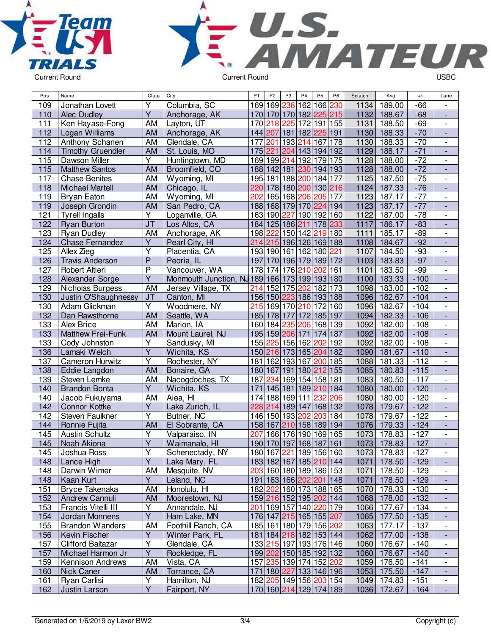



| Pos.       | Name                                          | Class                   | City                                          | P <sub>1</sub> | P <sub>2</sub> | P <sub>3</sub>                                     | P <sub>4</sub>  | P <sub>5</sub> | P <sub>6</sub> | Scratch | Avg.                       | $+/-$            | Lane                         |
|------------|-----------------------------------------------|-------------------------|-----------------------------------------------|----------------|----------------|----------------------------------------------------|-----------------|----------------|----------------|---------|----------------------------|------------------|------------------------------|
| 109        | Jonathan Lovett                               | Υ                       | Columbia, SC                                  |                |                | 169 169 238 162 166 230                            |                 |                |                | 1134    | 189.00                     | $-66$            |                              |
| 110        | <b>Alec Dudley</b>                            | $\overline{Y}$          | Anchorage, AK                                 |                |                | 170 170 170 182 225 215                            |                 |                |                | 1132    | 188.67                     | $-68$            |                              |
| 111        | Ken Hayase-Fong                               | AM                      | Layton, UT                                    |                |                | 170 218 225 172 191 155                            |                 |                |                | 1131    | 188.50                     | $-69$            | $\overline{\phantom{a}}$     |
| 112        | Logan Williams                                | <b>AM</b>               | Anchorage, AK                                 |                |                | 144 207 181 182 225 191                            |                 |                |                | 1130    | 188.33                     | $-70$            | $\overline{a}$               |
| 112        | Anthony Schanen                               | AM                      | Glendale, CA                                  | 177            | 201            |                                                    | 193 214         | 167 178        |                | 1130    | 188.33                     | $-70$            | $\frac{1}{2}$                |
| 114        | <b>Timothy Gruendler</b>                      | <b>AM</b>               | St. Louis, MO                                 | 175 221        |                | 204 143 194 192                                    |                 |                |                | 1129    | 188.17                     | $-71$            | $\qquad \qquad \blacksquare$ |
| 115        | Dawson Miller                                 | Υ                       | Huntingtown, MD                               |                |                | 169 199 214 192 179 175                            |                 |                |                | 1128    | 188.00                     | $-72$            |                              |
| 115        | <b>Matthew Santos</b>                         | <b>AM</b>               | Broomfield, CO                                |                |                | 188 142 181 230                                    |                 | 194 193        |                | 1128    | 188.00                     | $-72$            | $\frac{1}{2}$                |
| 117        | Chase Benites                                 | AM                      | Wyoming, MI                                   |                |                | 195 181 188 200                                    |                 | 184 177        |                | 1125    | 187.50                     | $-75$            | $\overline{\phantom{0}}$     |
| 118        | <b>Michael Martell</b>                        | <b>AM</b>               | Chicago, IL                                   |                |                | 220 178 180 200 130 216                            |                 |                |                | 1124    | 187.33                     | $-76$            | $\frac{1}{2}$                |
| 119        | <b>Bryan Eaton</b>                            | AM                      | Wyoming, MI                                   | 202            |                | 165 168 206                                        |                 | 205 177        |                | 1123    | 187.17                     | $-77$            | $\overline{\phantom{0}}$     |
| 119        | Joseph Grondin                                | <b>AM</b>               | San Pedro, CA                                 |                |                | 188 168 179 170 224 194                            |                 |                |                | 1123    | 187.17                     | $-77$            |                              |
| 121        | <b>Tyrell Ingalls</b>                         | $\overline{Y}$          | Loganville, GA                                |                |                | 163 190 227 190 192 160                            |                 |                |                | 1122    | 187.00                     | $-78$            | $\overline{\phantom{a}}$     |
| 122        | <b>Ryan Burton</b>                            | J <sub>T</sub>          | Los Altos, CA                                 |                |                | 184 125 186 211                                    |                 | 178 233        |                | 1117    | 186.17                     | $-83$            | $\overline{a}$               |
| 123        | <b>Ryan Dudley</b>                            | AM                      | Anchorage, AK                                 |                | 198 222        |                                                    | 150 142         | 219 180        |                | 1111    | 185.17                     | $-89$            | $\frac{1}{2}$                |
| 124        | <b>Chase Fernandez</b>                        | Υ                       | Pearl City, HI                                |                |                | 214 215 196 126 169 188                            |                 |                |                | 1108    | 184.67                     | $-92$            | $\qquad \qquad \blacksquare$ |
| 125        | Allex Zieg                                    | Υ                       | Placentia, CA                                 |                |                | 193 190 161 162 180 221                            |                 |                |                | 1107    | 184.50                     | $-93$            |                              |
| 126        | <b>Travis Anderson</b>                        | $\overline{P}$          | Peoria, IL                                    |                |                | 197 170 196 179 189 172                            |                 |                |                | 1103    | 183.83                     | $-97$            | $\overline{\phantom{a}}$     |
| 127        | Robert Altieri                                | $\overline{P}$          | Vancouver, WA                                 |                |                | 178 174 176 210                                    |                 | 202 161        |                | 1101    | 183.50                     | $-99$            | $\overline{\phantom{a}}$     |
| 128        | Alexander Sorge                               | $\overline{\mathsf{Y}}$ | Monmouth Junction, NJ 189 166 173 199 193 180 |                |                |                                                    |                 |                |                | 1100    | 183.33                     | $-100$           | $\overline{\phantom{a}}$     |
| 129        | Nicholas Burgess                              | AM                      | Jersey Village, TX                            |                |                | 214 152 175 202                                    |                 | 182 173        |                | 1098    | 183.00                     | $-102$           | $\overline{\phantom{a}}$     |
| 130        | Justin O'Shaughnessy                          | J <sub>T</sub>          | Canton, MI                                    |                |                | 156 150 223 186 193 188                            |                 |                |                | 1096    | 182.67                     | $-104$           | $\Box$                       |
| 130        | Adam Glickman                                 | Y                       | Woodmere, NY                                  |                |                | 215 169 170 210                                    |                 | 172 160        |                | 1096    | 182.67                     | $-104$           | $\overline{\phantom{a}}$     |
| 132        | Dan Rawsthorne                                | <b>AM</b>               | Seattle, WA                                   |                |                | 185 178 177 172 185 197                            |                 |                |                | 1094    | 182.33                     | $-106$           | $\overline{a}$               |
| 133        | <b>Alex Brice</b>                             | AM                      | Marion, IA                                    |                |                | 160 184 235 206                                    |                 | 168 139        |                | 1092    | 182.00                     | $-108$           | $\overline{\phantom{0}}$     |
| 133        | Matthew Frei-Funk                             | <b>AM</b>               | Mount Laurel, NJ                              |                |                | 195 159 206 171                                    |                 | 174 187        |                | 1092    | 182.00                     | $-108$           | $\qquad \qquad \blacksquare$ |
| 133        | Cody Johnston                                 | Υ                       | Sandusky, MI                                  |                |                | 155 225 156 162                                    |                 | 202 192        |                | 1092    | 182.00                     | $-108$           |                              |
| 136        | Lamaki Welch                                  | $\overline{Y}$          | Wichita, KS                                   |                |                | 150 216 173 165 204 182                            |                 |                |                | 1090    | 181.67                     | $-110$           |                              |
| 137        | <b>Cameron Hurwitz</b>                        | $\overline{\mathsf{Y}}$ | Rochester, NY                                 |                |                | 181 162 193 167                                    |                 | 200 185        |                | 1088    | 181.33                     | $-112$           | $\overline{\phantom{a}}$     |
| 138        | Eddie Langdon                                 | <b>AM</b>               | Bonaire, GA                                   |                | 180 167        | 191 180  <mark>212</mark>  155                     |                 |                |                | 1085    | 180.83                     | $-115$           | $\overline{\phantom{a}}$     |
| 139        | Steven Lemke                                  | AM                      | Nacogdoches, TX                               | 187            | 234            |                                                    | 169 154 158 181 |                |                | 1083    | 180.50                     | $-117$           |                              |
| 140        | <b>Brandon Bonta</b>                          | $\overline{Y}$          | Wichita, KS                                   |                |                | 171 145 181 189 210 184                            |                 |                |                | 1080    | 180.00                     | $-120$           | $\Box$                       |
| 140        | Jacob Fukuyama                                | AM                      | Aiea, HI                                      |                |                | 174 188 169 111                                    |                 | 232            | 206            | 1080    | 180.00                     | $-120$           | $\overline{\phantom{a}}$     |
| 142        | <b>Connor Kottke</b>                          | Y                       | Lake Zurich, IL                               |                |                | 228 214 189 147                                    |                 | 168 132        |                | 1078    | 179.67                     | $-122$           | ÷,                           |
| 142        | Steven Faulkner                               | $\overline{\mathsf{Y}}$ | Butner, NC                                    |                |                | 146 150 193 202                                    |                 | 203 184        |                | 1078    | 179.67                     | $-122$           | $\overline{\phantom{a}}$     |
| 144        | Ronnie Fujita                                 | AM                      | El Sobrante, CA                               |                |                | 158 167 210 158 189 194                            |                 |                |                | 1076    | 179.33                     | $-124$           | $\overline{\phantom{a}}$     |
| 145        | <b>Austin Schultz</b>                         | Υ                       | Valparaiso, IN                                | 207            |                | 166 176 190 169 165                                |                 |                |                | 1073    | 178.83                     | $-127$           |                              |
| 145        | Noah Akiona                                   | $\overline{Y}$          | Waimanalo, HI                                 |                |                | 190 170 197 168 187 161                            |                 |                |                | 1073    | 178.83                     | $-127$           |                              |
| 145        | Joshua Ross                                   | $\overline{\mathsf{Y}}$ | Schenectady, NY                               |                |                | 180 167 221 189 156 160                            |                 |                |                |         | 1073 178.83                | $-127$           |                              |
| 148        | Lance High                                    | Y                       | Lake Mary, FL                                 |                |                | 183 182 167 185 210 144                            |                 |                |                |         | 1071 178.50                | $-129$           | $\overline{\phantom{a}}$     |
| 148        | Darwin Wimer                                  | AM                      | Mesquite, NV                                  |                |                | 203 160 180 189 186 153                            |                 |                |                | 1071    | 178.50                     | $-129$           |                              |
| 148        | Kaan Kurt                                     | Y                       | Leland, NC                                    |                |                | 191 163 166 202 201 148                            |                 |                |                | 1071    | 178.50                     | $-129$           | $\blacksquare$               |
| 151        | Bryce Takenaka                                | AM                      | Honolulu, HI                                  |                |                | 182 202 160 173 188 165                            |                 |                |                |         | 1070 178.33                | $-130$           | $\overline{\phantom{a}}$     |
| 152        | Andrew Cannuli                                | AM                      | Moorestown, NJ                                |                |                | 159 216 152 195 202 144                            |                 |                |                |         | 1068 178.00                | $-132$           | $\blacksquare$               |
| 153        | Francis Vitelli III                           | Y                       | Annandale, NJ                                 |                |                | 201 169 157 140 220 179                            |                 |                |                |         | 1066 177.67                | $-134$           | $\overline{\phantom{a}}$     |
| 154        | Jordan Monnens                                | Υ                       | Ham Lake, MN                                  |                |                | 176 147 215 165 155 207                            |                 |                |                |         | 1065 177.50                | $-135$           | $\overline{\phantom{a}}$     |
| 155        | <b>Brandon Wanders</b>                        | AM                      | Foothill Ranch, CA                            |                |                | 185 161 180 179 156 202                            |                 |                |                |         | 1063 177.17                | $-137$           | $\overline{\phantom{0}}$     |
|            |                                               | Y                       |                                               |                |                |                                                    |                 |                |                |         | 1062 177.00                | $-138$           |                              |
| 156        | Kevin Fischer                                 | Υ                       | Winter Park, FL<br>Glendale, CA               |                |                | 181   184   218   182   153   144                  |                 |                |                |         |                            |                  | ۰                            |
| 157        | <b>Clifford Baltazar</b><br>Michael Harmon Jr | Y                       | Rockledge, FL                                 |                |                | 133 215 197 193 176 146<br>199 202 150 185 192 132 |                 |                |                |         | 1060 176.67<br>1060 176.67 | $-140$<br>$-140$ | -                            |
| 157        |                                               |                         | Vista, CA                                     |                |                | 157 235 139 174 152 202                            |                 |                |                |         |                            | $-141$           | $\overline{\phantom{a}}$     |
| 159        | Kennison Andrews                              | AM<br>AM                |                                               |                |                | 171 180 227 133 146 196                            |                 |                |                |         | 1059 176.50<br>1053 175.50 | $-147$           | $\overline{\phantom{a}}$     |
| 160        | Nick Caner                                    | Υ                       | Torrance, CA                                  |                |                | 182 205 149 156 203 154                            |                 |                |                |         | 1049 174.83                |                  | $\blacksquare$               |
| 161<br>162 | Ryan Carlisi                                  | $\overline{Y}$          | Hamilton, NJ<br>Fairport, NY                  |                |                |                                                    |                 |                |                |         |                            | $-151$           | $\overline{\phantom{a}}$     |
|            | Justin Larson                                 |                         |                                               |                |                | 170 160 214 129 174 189                            |                 |                |                |         | 1036 172.67                | $-164$           |                              |